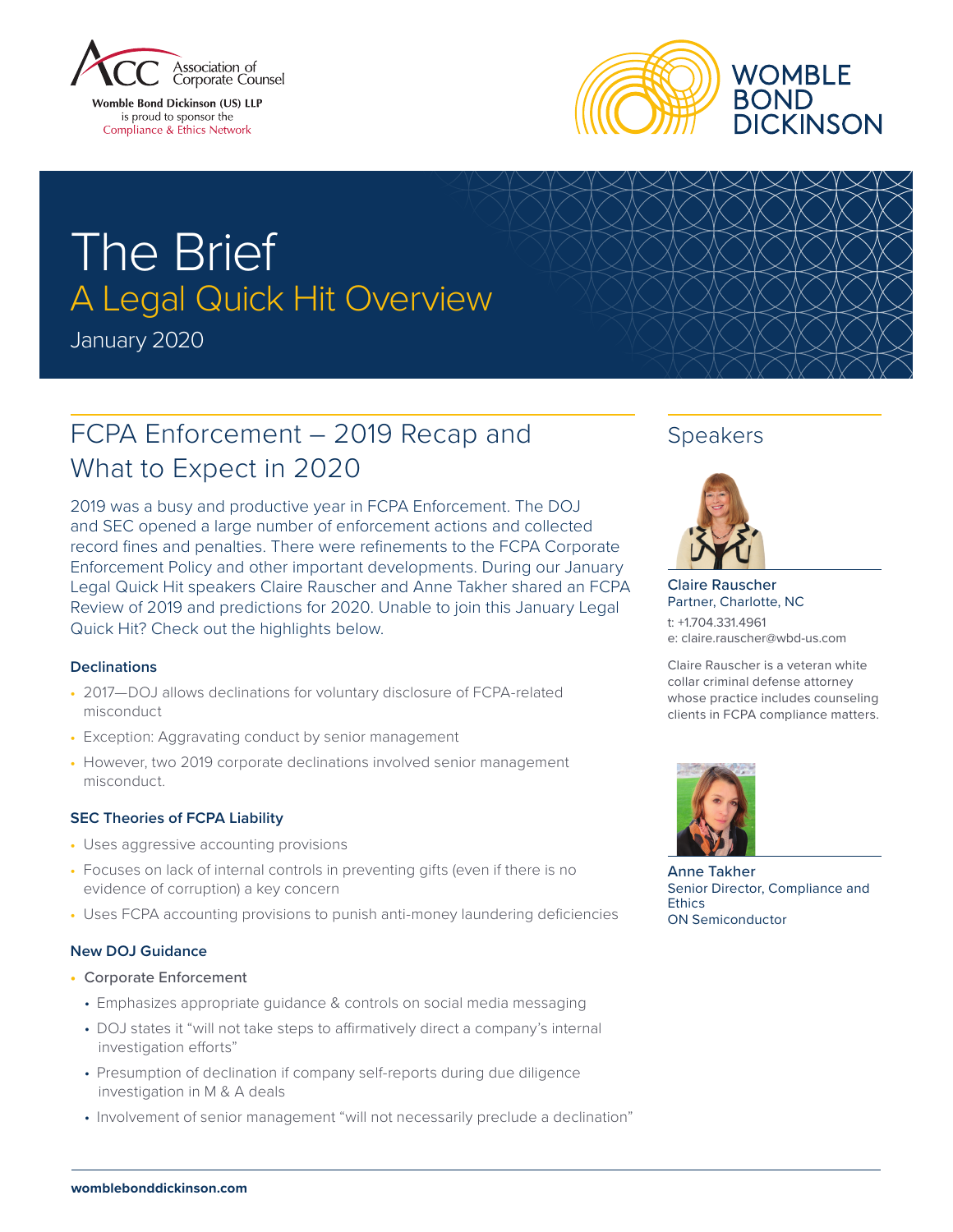

**Womble Bond Dickinson (US) LLP** is proud to sponsor the Compliance & Ethics Network



# The Brief A Legal Quick Hit Overview

January 2020

## FCPA Enforcement – 2019 Recap and What to Expect in 2020

2019 was a busy and productive year in FCPA Enforcement. The DOJ and SEC opened a large number of enforcement actions and collected record fines and penalties. There were refinements to the FCPA Corporate Enforcement Policy and other important developments. During our January Legal Quick Hit speakers Claire Rauscher and Anne Takher shared an FCPA Review of 2019 and predictions for 2020. Unable to join this January Legal Quick Hit? Check out the highlights below.

## **Declinations**

- **•** 2017—DOJ allows declinations for voluntary disclosure of FCPA-related misconduct
- **•** Exception: Aggravating conduct by senior management
- **•** However, two 2019 corporate declinations involved senior management misconduct.

## **SEC Theories of FCPA Liability**

- **•** Uses aggressive accounting provisions
- **•** Focuses on lack of internal controls in preventing gifts (even if there is no evidence of corruption) a key concern
- **•** Uses FCPA accounting provisions to punish anti-money laundering deficiencies

## **New DOJ Guidance**

- **•** Corporate Enforcement
	- Emphasizes appropriate guidance & controls on social media messaging
	- DOJ states it "will not take steps to affirmatively direct a company's internal investigation efforts"
	- Presumption of declination if company self-reports during due diligence investigation in M & A deals
	- Involvement of senior management "will not necessarily preclude a declination"

## Speakers



Claire Rauscher Partner, Charlotte, NC t: +1.704.331.4961

e: claire.rauscher@wbd-us.com

Claire Rauscher is a veteran white collar criminal defense attorney whose practice includes counseling clients in FCPA compliance matters.



Anne Takher Senior Director, Compliance and **Ethics** ON Semiconductor